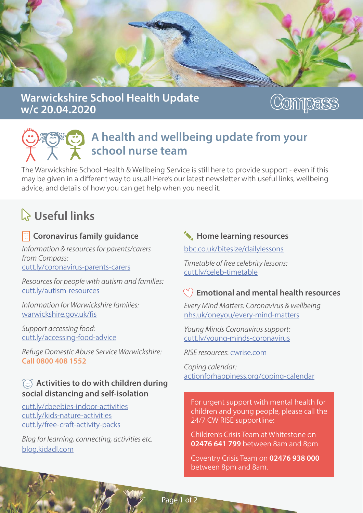

## Warwickshire School Health Update w/c 20.04.2020

# Compass

## A health and wellbeing update from your school nurse team

The Warwickshire School Health & Wellbeing Service is still here to provide support - even if this may be given in a different way to usual! Here's our latest newsletter with useful links, wellbeing advice, and details of how you can get help when you need it.

# $\lambda$  Useful links

#### $\left| \tilde{\mathbf{x}} \right|$  Coronavirus family quidance

*Information & resources for parents/carers* from Compass: cutt.ly/coronavirus-parents-carers

*Resources for people with autism and families:* cutt.ly/autism-resources

*Information for Warwickshire families:* war wickshire.gov.uk/fis

Support accessing food: cutt.ly/accessing-food-advice

*R e f u g e D o m e s t ic A b u s e S e r v ic e W a r w ic k s h ire :*  Call 0800 408 1552

#### $\textcircled{c}$  Activities to do with children during social distancing and self-isolation

cutt.ly/cbeebies-indoor-activities cutt.ly/kids-nature-activities cutt.ly/free-craft-activity-packs

*Blog for learning, connecting, activities etc.* blog.kidadl.com

## $\leftarrow$  Home learning resources

bbc.co.uk/bitesize/dailylessons

*Timetable of free celebrity lessons:* cutt.ly/celeb-timetable

### $\degree$  Emotional and mental health resources

*Every Mind Matters: Coronavirus & wellbeing* nhs.uk/oneyou/every-mind-matters

*Young Minds Coronavirus support:* cutt.ly/voung-minds-coronavirus

*RISE resources: cwrise.com* 

*Coping calendar:* action for happiness.or g/coping-calendar

For urgent support with mental health for children and young people, please call the 24/7 CW RISE supportline:

Children's Crisis Team at Whitestone on 02476 641 799 between 8 am and 8 pm

Coventry Crisis Team on 02476 938 000 between 8pm and 8am.